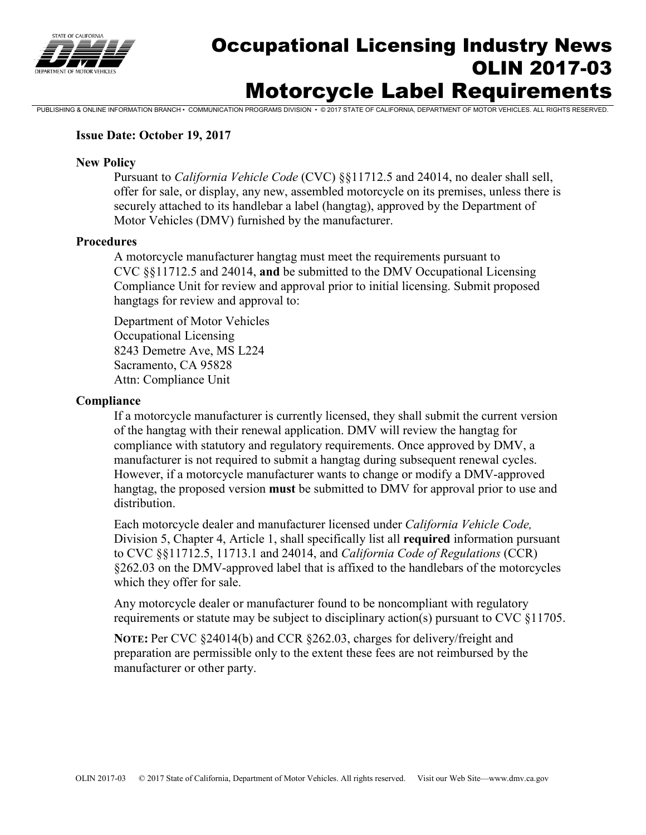

# Occupational Licensing Industry News OLIN 2017-03 Motorcycle Label Requirements

PUBLISHING & ONLINE INFORMATION BRANCH • COMMUNICATION PROGRAMS DIVISION • © 2017 STATE OF CALIFORNIA, DEPARTMENT OF MOTOR VEHICLES. ALL RIGHTS RESERVED.

#### **Issue Date: October 19, 2017**

#### **New Policy**

Pursuant to *California Vehicle Code* (CVC) §§11712.5 and 24014, no dealer shall sell, offer for sale, or display, any new, assembled motorcycle on its premises, unless there is securely attached to its handlebar a label (hangtag), approved by the Department of Motor Vehicles (DMV) furnished by the manufacturer.

#### **Procedures**

A motorcycle manufacturer hangtag must meet the requirements pursuant to CVC §§11712.5 and 24014, **and** be submitted to the DMV Occupational Licensing Compliance Unit for review and approval prior to initial licensing. Submit proposed hangtags for review and approval to:

Department of Motor Vehicles Occupational Licensing 8243 Demetre Ave, MS L224 Sacramento, CA 95828 Attn: Compliance Unit

#### **Compliance**

If a motorcycle manufacturer is currently licensed, they shall submit the current version of the hangtag with their renewal application. DMV will review the hangtag for compliance with statutory and regulatory requirements. Once approved by DMV, a manufacturer is not required to submit a hangtag during subsequent renewal cycles. However, if a motorcycle manufacturer wants to change or modify a DMV-approved hangtag, the proposed version **must** be submitted to DMV for approval prior to use and distribution.

Each motorcycle dealer and manufacturer licensed under *California Vehicle Code,* Division 5, Chapter 4, Article 1, shall specifically list all **required** information pursuant to CVC §§11712.5, 11713.1 and 24014, and *California Code of Regulations* (CCR) §262.03 on the DMV-approved label that is affixed to the handlebars of the motorcycles which they offer for sale.

Any motorcycle dealer or manufacturer found to be noncompliant with regulatory requirements or statute may be subject to disciplinary action(s) pursuant to CVC §11705.

**NOTE:** Per CVC §24014(b) and CCR §262.03, charges for delivery/freight and preparation are permissible only to the extent these fees are not reimbursed by the manufacturer or other party.